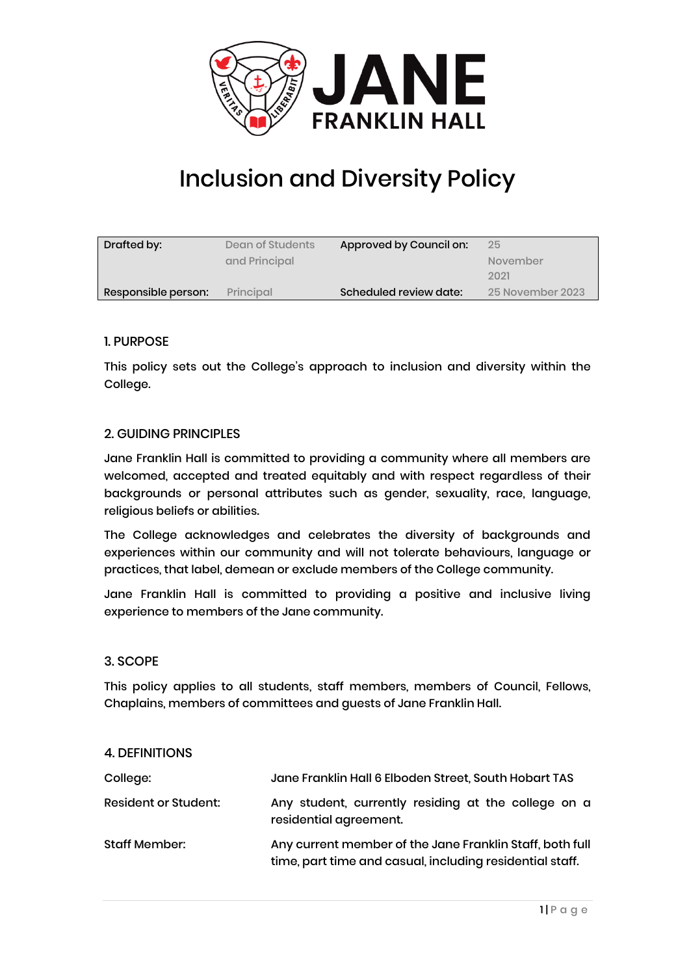

# Inclusion and Diversity Policy

| Drafted by:         | Dean of Students | Approved by Council on: | 25               |
|---------------------|------------------|-------------------------|------------------|
|                     | and Principal    |                         | November         |
|                     |                  |                         | 2021             |
| Responsible person: | Principal        | Scheduled review date:  | 25 November 2023 |

### 1. PURPOSE

This policy sets out the College's approach to inclusion and diversity within the College.

### 2. GUIDING PRINCIPLES

Jane Franklin Hall is committed to providing a community where all members are welcomed, accepted and treated equitably and with respect regardless of their backgrounds or personal attributes such as gender, sexuality, race, language, religious beliefs or abilities.

The College acknowledges and celebrates the diversity of backgrounds and experiences within our community and will not tolerate behaviours, language or practices, that label, demean or exclude members of the College community.

Jane Franklin Hall is committed to providing a positive and inclusive living experience to members of the Jane community.

### 3. SCOPE

This policy applies to all students, staff members, members of Council, Fellows, Chaplains, members of committees and guests of Jane Franklin Hall.

#### 4. DEFINITIONS

| College:                    | Jane Franklin Hall 6 Elboden Street, South Hobart TAS                                                                |
|-----------------------------|----------------------------------------------------------------------------------------------------------------------|
| <b>Resident or Student:</b> | Any student, currently residing at the college on a<br>residential agreement.                                        |
| Staff Member:               | Any current member of the Jane Franklin Staff, both full<br>time, part time and casual, including residential staff. |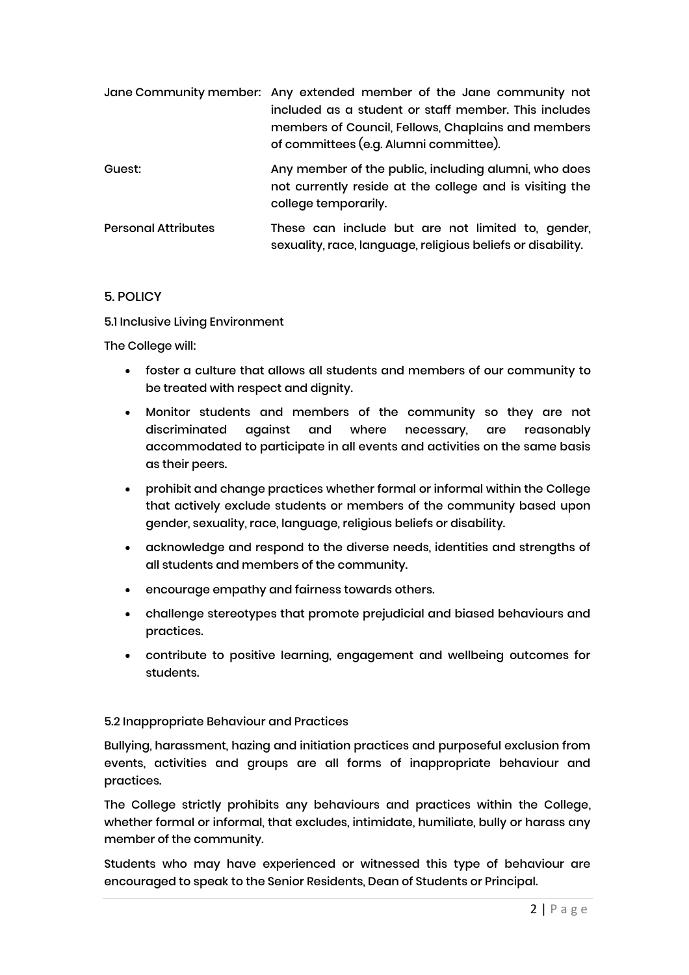|                            | Jane Community member: Any extended member of the Jane community not<br>included as a student or staff member. This includes<br>members of Council, Fellows, Chaplains and members<br>of committees (e.g. Alumni committee). |
|----------------------------|------------------------------------------------------------------------------------------------------------------------------------------------------------------------------------------------------------------------------|
| Guest:                     | Any member of the public, including alumni, who does<br>not currently reside at the college and is visiting the<br>college temporarily.                                                                                      |
| <b>Personal Attributes</b> | These can include but are not limited to, gender,<br>sexuality, race, language, religious beliefs or disability.                                                                                                             |

### 5. POLICY

5.1 Inclusive Living Environment

The College will:

- foster a culture that allows all students and members of our community to be treated with respect and dignity.
- Monitor students and members of the community so they are not discriminated against and where necessary, are reasonably accommodated to participate in all events and activities on the same basis as their peers.
- prohibit and change practices whether formal or informal within the College that actively exclude students or members of the community based upon gender, sexuality, race, language, religious beliefs or disability.
- acknowledge and respond to the diverse needs, identities and strengths of all students and members of the community.
- encourage empathy and fairness towards others.
- challenge stereotypes that promote prejudicial and biased behaviours and practices.
- contribute to positive learning, engagement and wellbeing outcomes for students.

### 5.2 Inappropriate Behaviour and Practices

Bullying, harassment, hazing and initiation practices and purposeful exclusion from events, activities and groups are all forms of inappropriate behaviour and practices.

The College strictly prohibits any behaviours and practices within the College, whether formal or informal, that excludes, intimidate, humiliate, bully or harass any member of the community.

Students who may have experienced or witnessed this type of behaviour are encouraged to speak to the Senior Residents, Dean of Students or Principal.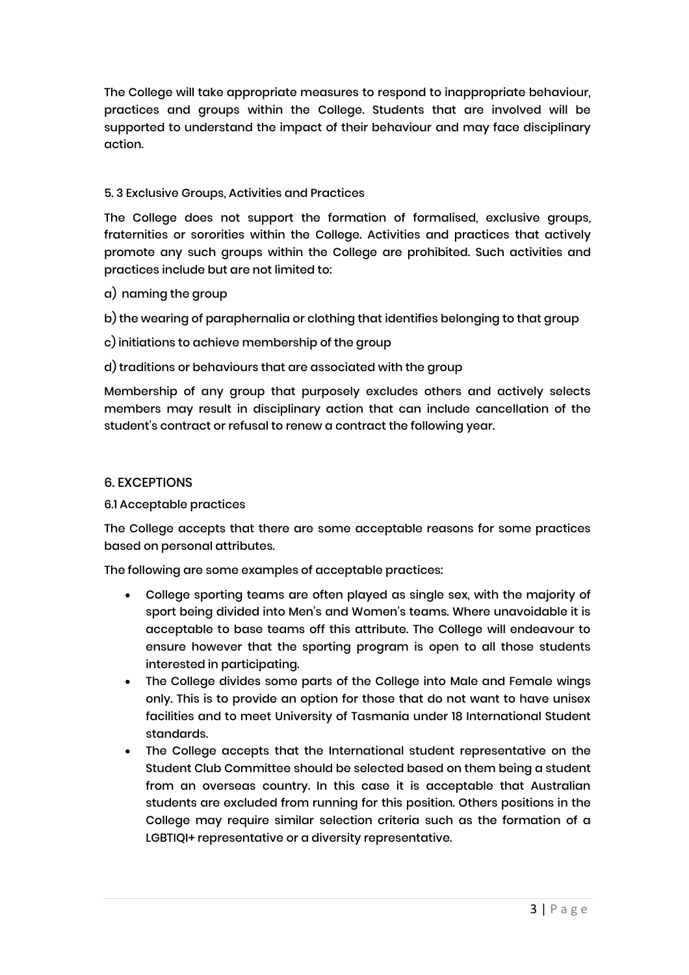The College will take appropriate measures to respond to inappropriate behaviour, practices and groups within the College. Students that are involved will be supported to understand the impact of their behaviour and may face disciplinary action.

## 5. 3 Exclusive Groups, Activities and Practices

The College does not support the formation of formalised, exclusive groups, fraternities or sororities within the College. Activities and practices that actively promote any such groups within the College are prohibited. Such activities and practices include but are not limited to:

- a) naming the group
- b) the wearing of paraphernalia or clothing that identifies belonging to that group
- c) initiations to achieve membership of the group
- d) traditions or behaviours that are associated with the group

Membership of any group that purposely excludes others and actively selects members may result in disciplinary action that can include cancellation of the student's contract or refusal to renew a contract the following year.

## 6. EXCEPTIONS

6.1 Acceptable practices

The College accepts that there are some acceptable reasons for some practices based on personal attributes.

The following are some examples of acceptable practices:

- College sporting teams are often played as single sex, with the majority of sport being divided into Men's and Women's teams. Where unavoidable it is acceptable to base teams off this attribute. The College will endeavour to ensure however that the sporting program is open to all those students interested in participating.
- The College divides some parts of the College into Male and Female wings only. This is to provide an option for those that do not want to have unisex facilities and to meet University of Tasmania under 18 International Student standards.
- The College accepts that the International student representative on the Student Club Committee should be selected based on them being a student from an overseas country. In this case it is acceptable that Australian students are excluded from running for this position. Others positions in the College may require similar selection criteria such as the formation of a LGBTIQI+ representative or a diversity representative.